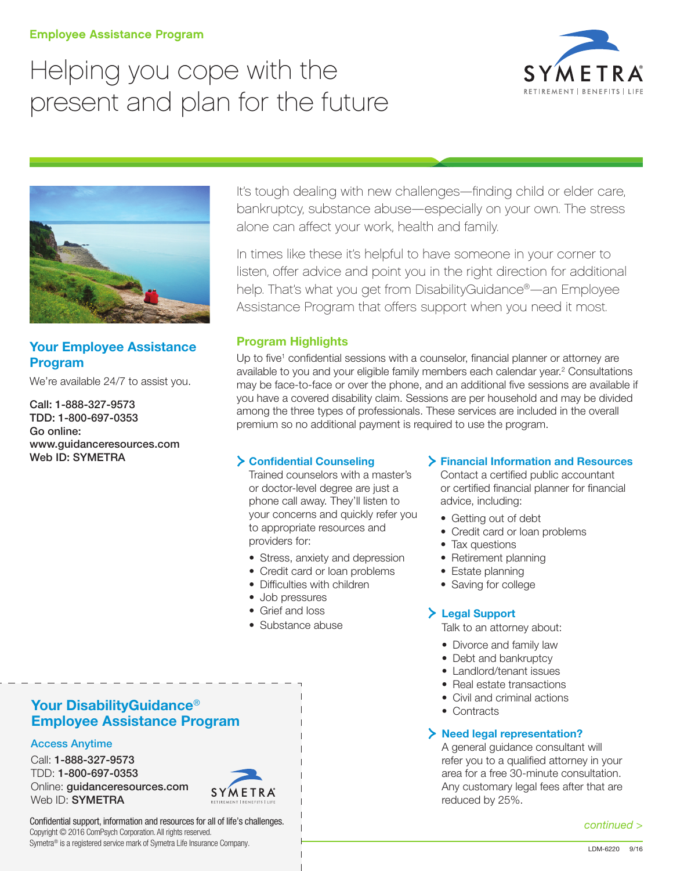### Employee Assistance Program

# Helping you cope with the present and plan for the future





# Your Employee Assistance Program

We're available 24/7 to assist you.

Call: 1-888-327-9573 TDD: 1-800-697-0353 Go online: [www.guidanceresources.com](http://www.guidanceresources.com) Web ID: SYMETRA

It's tough dealing with new challenges—finding child or elder care, bankruptcy, substance abuse—especially on your own. The stress alone can affect your work, health and family.

In times like these it's helpful to have someone in your corner to listen, offer advice and point you in the right direction for additional help. That's what you get from DisabilityGuidance®—an Employee Assistance Program that offers support when you need it most.

## Program Highlights

Up to five<sup>1</sup> confidential sessions with a counselor, financial planner or attorney are available to you and your eligible family members each calendar year.<sup>2</sup> Consultations may be face-to-face or over the phone, and an additional five sessions are available if you have a covered disability claim. Sessions are per household and may be divided among the three types of professionals. These services are included in the overall premium so no additional payment is required to use the program.

## Confidential Counseling

 Trained counselors with a master's or doctor-level degree are just a phone call away. They'll listen to your concerns and quickly refer you to appropriate resources and providers for:

- Stress, anxiety and depression
- Credit card or loan problems
- Difficulties with children
- Job pressures
- Grief and loss
- Substance abuse

## Financial Information and Resources

Contact a certified public accountant or certified financial planner for financial advice, including:

- Getting out of debt
- Credit card or loan problems
- Tax questions
- Retirement planning
- Estate planning
- Saving for college

## Legal Support

Talk to an attorney about:

- Divorce and family law
- Debt and bankruptcy
- Landlord/tenant issues
- Real estate transactions
- Civil and criminal actions
- Contracts

## > Need legal representation?

 A general guidance consultant will refer you to a qualified attorney in your area for a free 30-minute consultation. Any customary legal fees after that are reduced by 25%.

#### *continued >*

## Your DisabilityGuidance<sup>®</sup> Employee Assistance Program

## Access Anytime

Call: 1-888-327-9573 TDD: 1-800-697-0353 Online: [guidanceresources.com](http://www.guidanceresources.com) Web ID: **SYMETRA** 



Confidential support, information and resources for all of life's challenges. Copyright © 2016 ComPsych Corporation. All rights reserved. Symetra® is a registered service mark of Symetra Life Insurance Company.